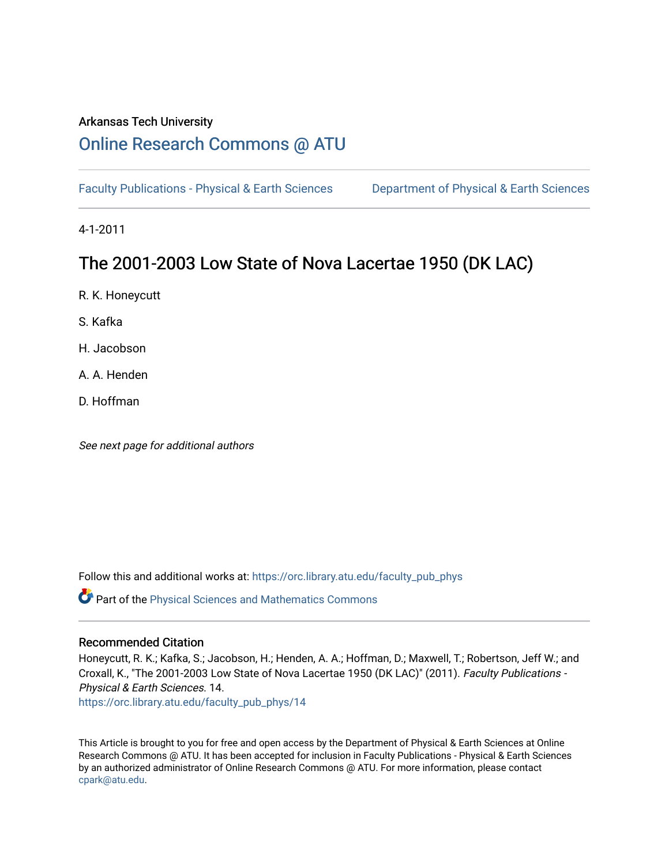# Arkansas Tech University

# [Online Research Commons @ ATU](https://orc.library.atu.edu/)

[Faculty Publications - Physical & Earth Sciences](https://orc.library.atu.edu/faculty_pub_phys) [Department of Physical & Earth Sciences](https://orc.library.atu.edu/physical_sciences) 

4-1-2011

# The 2001-2003 Low State of Nova Lacertae 1950 (DK LAC)

R. K. Honeycutt

S. Kafka

H. Jacobson

A. A. Henden

D. Hoffman

See next page for additional authors

Follow this and additional works at: [https://orc.library.atu.edu/faculty\\_pub\\_phys](https://orc.library.atu.edu/faculty_pub_phys?utm_source=orc.library.atu.edu%2Ffaculty_pub_phys%2F14&utm_medium=PDF&utm_campaign=PDFCoverPages) 

Part of the [Physical Sciences and Mathematics Commons](https://network.bepress.com/hgg/discipline/114?utm_source=orc.library.atu.edu%2Ffaculty_pub_phys%2F14&utm_medium=PDF&utm_campaign=PDFCoverPages) 

# Recommended Citation

Honeycutt, R. K.; Kafka, S.; Jacobson, H.; Henden, A. A.; Hoffman, D.; Maxwell, T.; Robertson, Jeff W.; and Croxall, K., "The 2001-2003 Low State of Nova Lacertae 1950 (DK LAC)" (2011). Faculty Publications - Physical & Earth Sciences. 14.

[https://orc.library.atu.edu/faculty\\_pub\\_phys/14](https://orc.library.atu.edu/faculty_pub_phys/14?utm_source=orc.library.atu.edu%2Ffaculty_pub_phys%2F14&utm_medium=PDF&utm_campaign=PDFCoverPages)

This Article is brought to you for free and open access by the Department of Physical & Earth Sciences at Online Research Commons @ ATU. It has been accepted for inclusion in Faculty Publications - Physical & Earth Sciences by an authorized administrator of Online Research Commons @ ATU. For more information, please contact [cpark@atu.edu](mailto:cpark@atu.edu).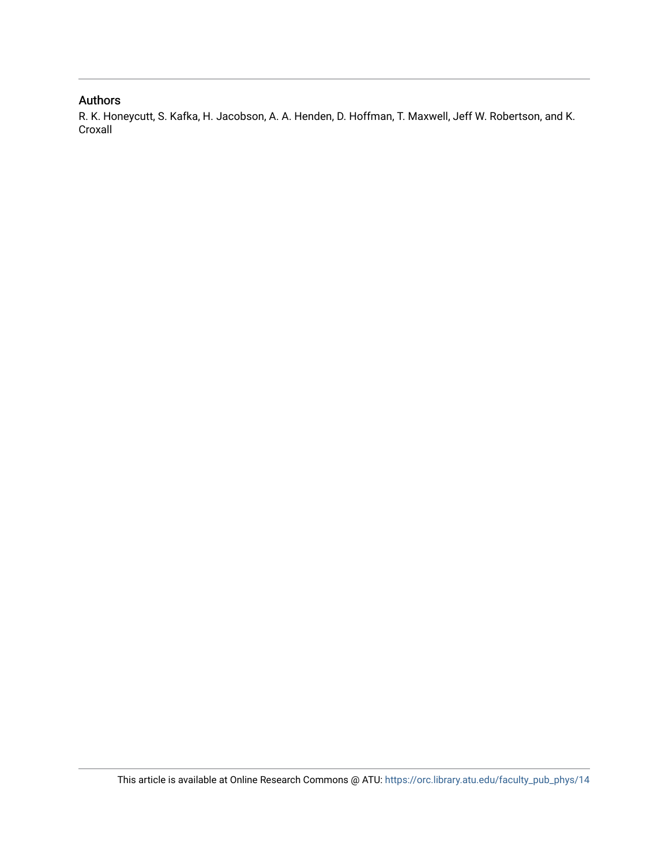# Authors

R. K. Honeycutt, S. Kafka, H. Jacobson, A. A. Henden, D. Hoffman, T. Maxwell, Jeff W. Robertson, and K. Croxall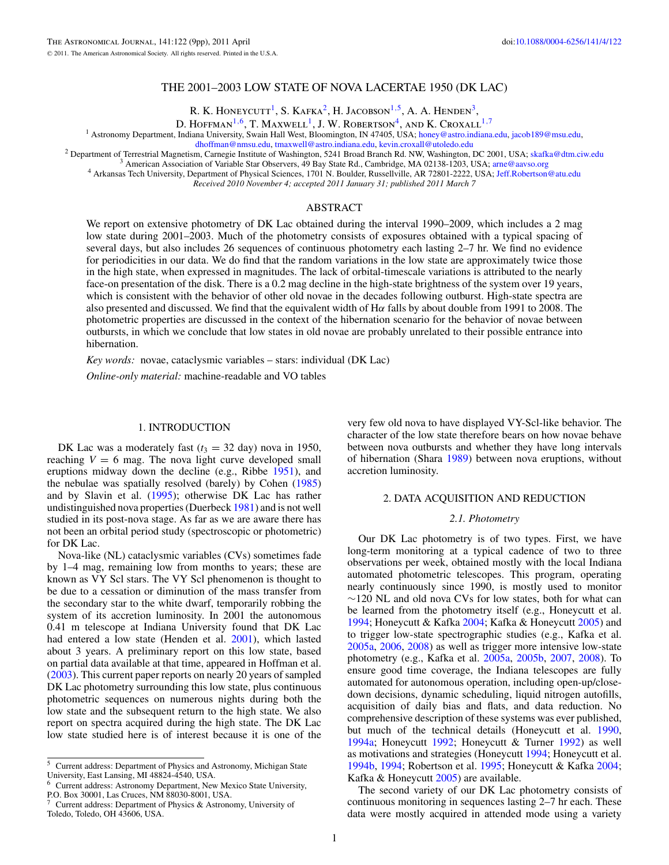# THE 2001–2003 LOW STATE OF NOVA LACERTAE 1950 (DK LAC)

R. K. HONEYCUTT<sup>1</sup>, S. KAFKA<sup>2</sup>, H. JACOBSON<sup>1,5</sup>, A. A. HENDEN<sup>3</sup>,

D. HOFFMAN<sup>1,6</sup>, T. MAXWELL<sup>1</sup>, J. W. ROBERTSON<sup>4</sup>, AND K. CROXALL<sup>1,7</sup>

<span id="page-2-0"></span><sup>1</sup> Astronomy Department, Indiana University, Swain Hall West, Bloomington, IN 47405, USA; [honey@astro.indiana.edu,](mailto:honey@astro.indiana.edu) [jacob189@msu.edu,](mailto:jacob189@msu.edu) dhoffman@nmsu.edu, tmaxwell@astro.indiana.edu, kevin.croxall@utoledo.edu

<sup>2</sup> Department of Terrestrial Magnetism, Carnegie Institute of Washington, 5241 Broad Branch Rd. NW, Washington, DC 2001, USA; [skafka@dtm.ciw.edu](mailto:skafka@dtm.ciw.edu)<br><sup>3</sup> American Association of Variable Star Observers, 49 Bay State Rd., Cambr

*Received 2010 November 4; accepted 2011 January 31; published 2011 March 7*

## ABSTRACT

We report on extensive photometry of DK Lac obtained during the interval 1990–2009, which includes a 2 mag low state during 2001–2003. Much of the photometry consists of exposures obtained with a typical spacing of several days, but also includes 26 sequences of continuous photometry each lasting 2–7 hr. We find no evidence for periodicities in our data. We do find that the random variations in the low state are approximately twice those in the high state, when expressed in magnitudes. The lack of orbital-timescale variations is attributed to the nearly face-on presentation of the disk. There is a 0.2 mag decline in the high-state brightness of the system over 19 years, which is consistent with the behavior of other old novae in the decades following outburst. High-state spectra are also presented and discussed. We find that the equivalent width of H*α* falls by about double from 1991 to 2008. The photometric properties are discussed in the context of the hibernation scenario for the behavior of novae between outbursts, in which we conclude that low states in old novae are probably unrelated to their possible entrance into hibernation.

*Key words:* novae, cataclysmic variables – stars: individual (DK Lac)

*Online-only material:* machine-readable and VO tables

### 1. INTRODUCTION

DK Lac was a moderately fast  $(t_3 = 32 \text{ day})$  nova in 1950, reaching  $V = 6$  mag. The nova light curve developed small eruptions midway down the decline (e.g., Ribbe [1951\)](#page-10-0), and the nebulae was spatially resolved (barely) by Cohen [\(1985\)](#page-10-0) and by Slavin et al. [\(1995\)](#page-10-0); otherwise DK Lac has rather undistinguished nova properties (Duerbeck [1981\)](#page-10-0) and is not well studied in its post-nova stage. As far as we are aware there has not been an orbital period study (spectroscopic or photometric) for DK Lac.

Nova-like (NL) cataclysmic variables (CVs) sometimes fade by 1–4 mag, remaining low from months to years; these are known as VY Scl stars. The VY Scl phenomenon is thought to be due to a cessation or diminution of the mass transfer from the secondary star to the white dwarf, temporarily robbing the system of its accretion luminosity. In 2001 the autonomous 0.41 m telescope at Indiana University found that DK Lac had entered a low state (Henden et al. [2001\)](#page-10-0), which lasted about 3 years. A preliminary report on this low state, based on partial data available at that time, appeared in Hoffman et al. [\(2003\)](#page-10-0). This current paper reports on nearly 20 years of sampled DK Lac photometry surrounding this low state, plus continuous photometric sequences on numerous nights during both the low state and the subsequent return to the high state. We also report on spectra acquired during the high state. The DK Lac low state studied here is of interest because it is one of the

very few old nova to have displayed VY-Scl-like behavior. The character of the low state therefore bears on how novae behave between nova outbursts and whether they have long intervals of hibernation (Shara [1989\)](#page-10-0) between nova eruptions, without accretion luminosity.

#### 2. DATA ACQUISITION AND REDUCTION

#### *2.1. Photometry*

Our DK Lac photometry is of two types. First, we have long-term monitoring at a typical cadence of two to three observations per week, obtained mostly with the local Indiana automated photometric telescopes. This program, operating nearly continuously since 1990, is mostly used to monitor ∼120 NL and old nova CVs for low states, both for what can be learned from the photometry itself (e.g., Honeycutt et al. [1994;](#page-10-0) Honeycutt & Kafka [2004;](#page-10-0) Kafka & Honeycutt [2005\)](#page-10-0) and to trigger low-state spectrographic studies (e.g., Kafka et al. [2005a,](#page-10-0) [2006,](#page-10-0) [2008\)](#page-10-0) as well as trigger more intensive low-state photometry (e.g., Kafka et al. [2005a,](#page-10-0) [2005b,](#page-10-0) [2007,](#page-10-0) [2008\)](#page-10-0). To ensure good time coverage, the Indiana telescopes are fully automated for autonomous operation, including open-up/closedown decisions, dynamic scheduling, liquid nitrogen autofills, acquisition of daily bias and flats, and data reduction. No comprehensive description of these systems was ever published, but much of the technical details (Honeycutt et al. [1990,](#page-10-0) [1994a;](#page-10-0) Honeycutt [1992;](#page-10-0) Honeycutt & Turner [1992\)](#page-10-0) as well as motivations and strategies (Honeycutt [1994;](#page-10-0) Honeycutt et al. [1994b,](#page-10-0) [1994;](#page-10-0) Robertson et al. [1995;](#page-10-0) Honeycutt & Kafka [2004;](#page-10-0) Kafka & Honeycutt [2005\)](#page-10-0) are available.

The second variety of our DK Lac photometry consists of continuous monitoring in sequences lasting 2–7 hr each. These data were mostly acquired in attended mode using a variety

<sup>5</sup> Current address: Department of Physics and Astronomy, Michigan State University, East Lansing, MI 48824-4540, USA.

<sup>6</sup> Current address: Astronomy Department, New Mexico State University, P.O. Box 30001, Las Cruces, NM 88030-8001, USA.

<sup>7</sup> Current address: Department of Physics & Astronomy, University of Toledo, Toledo, OH 43606, USA.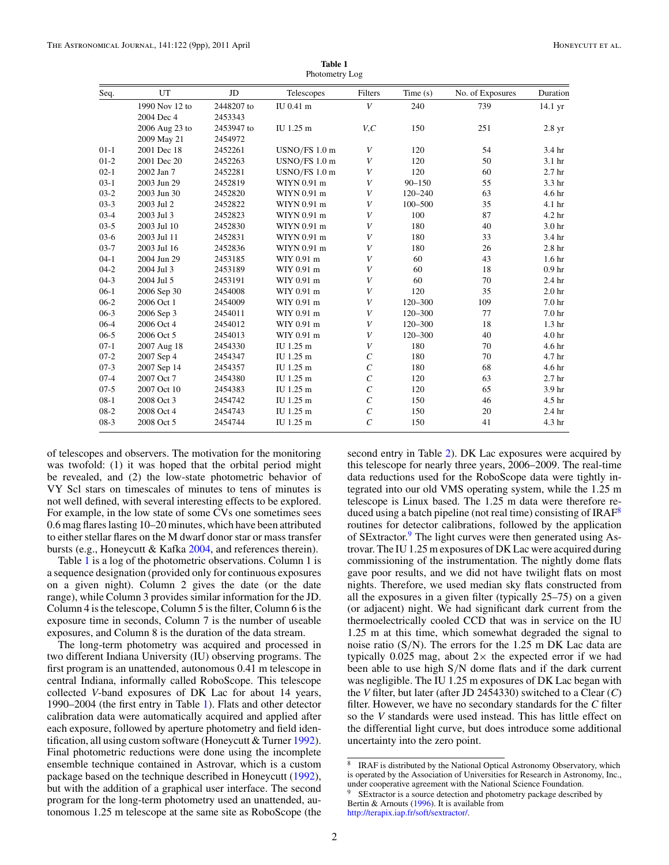<span id="page-3-0"></span>

| Seq.     | UT             | JD         | Telescopes    | Filters               | Time(s)     | No. of Exposures | Duration          |
|----------|----------------|------------|---------------|-----------------------|-------------|------------------|-------------------|
|          | 1990 Nov 12 to | 2448207 to | IU 0.41 m     | V                     | 240         | 739              | 14.1 yr           |
|          | 2004 Dec 4     | 2453343    |               |                       |             |                  |                   |
|          | 2006 Aug 23 to | 2453947 to | IU 1.25 m     | V, C                  | 150         | 251              | 2.8 <sub>yr</sub> |
|          | 2009 May 21    | 2454972    |               |                       |             |                  |                   |
| $01 - 1$ | 2001 Dec 18    | 2452261    | USNO/FS 1.0 m | V                     | 120         | 54               | 3.4 hr            |
| $01-2$   | 2001 Dec 20    | 2452263    | USNO/FS 1.0 m | V                     | 120         | 50               | 3.1 <sub>hr</sub> |
| $02-1$   | 2002 Jan 7     | 2452281    | USNO/FS 1.0 m | V                     | 120         | 60               | 2.7 <sub>hr</sub> |
| $03-1$   | 2003 Jun 29    | 2452819    | WIYN 0.91 m   | V                     | $90 - 150$  | 55               | 3.3 hr            |
| $03-2$   | 2003 Jun 30    | 2452820    | WIYN 0.91 m   | V                     | $120 - 240$ | 63               | 4.6 hr            |
| $03-3$   | 2003 Jul 2     | 2452822    | WIYN 0.91 m   | V                     | $100 - 500$ | 35               | 4.1 hr            |
| $03-4$   | 2003 Jul 3     | 2452823    | WIYN 0.91 m   | V                     | 100         | 87               | 4.2 hr            |
| $03-5$   | 2003 Jul 10    | 2452830    | WIYN 0.91 m   | V                     | 180         | 40               | 3.0 hr            |
| $03-6$   | 2003 Jul 11    | 2452831    | WIYN 0.91 m   | V                     | 180         | 33               | 3.4 hr            |
| $03 - 7$ | 2003 Jul 16    | 2452836    | WIYN 0.91 m   | V                     | 180         | 26               | 2.8 <sub>hr</sub> |
| $04-1$   | 2004 Jun 29    | 2453185    | WIY 0.91 m    | V                     | 60          | 43               | 1.6 <sub>hr</sub> |
| $04-2$   | 2004 Jul 3     | 2453189    | WIY 0.91 m    | V                     | 60          | 18               | 0.9 <sub>hr</sub> |
| $04-3$   | 2004 Jul 5     | 2453191    | WIY 0.91 m    | V                     | 60          | 70               | 2.4 hr            |
| $06-1$   | 2006 Sep 30    | 2454008    | WIY 0.91 m    | V                     | 120         | 35               | 2.0 <sub>hr</sub> |
| $06-2$   | 2006 Oct 1     | 2454009    | WIY 0.91 m    | V                     | 120-300     | 109              | 7.0 <sub>hr</sub> |
| $06-3$   | 2006 Sep 3     | 2454011    | WIY 0.91 m    | V                     | 120-300     | 77               | 7.0 hr            |
| $06 - 4$ | 2006 Oct 4     | 2454012    | WIY 0.91 m    | V                     | 120-300     | 18               | 1.3 <sub>hr</sub> |
| $06-5$   | 2006 Oct 5     | 2454013    | WIY 0.91 m    | V                     | 120-300     | 40               | 4.0 hr            |
| $07-1$   | 2007 Aug 18    | 2454330    | IU 1.25 m     | V                     | 180         | 70               | 4.6 hr            |
| $07 - 2$ | 2007 Sep 4     | 2454347    | IU 1.25 m     | $\mathcal{C}_{0}^{0}$ | 180         | 70               | 4.7 hr            |
| $07-3$   | 2007 Sep 14    | 2454357    | IU 1.25 m     | $\mathcal{C}_{0}$     | 180         | 68               | 4.6 hr            |
| $07 - 4$ | 2007 Oct 7     | 2454380    | IU 1.25 m     | $\mathcal{C}_{0}^{0}$ | 120         | 63               | 2.7 <sub>hr</sub> |
| $07 - 5$ | 2007 Oct 10    | 2454383    | IU 1.25 m     | $\mathcal{C}_{0}$     | 120         | 65               | 3.9 hr            |
| $08 - 1$ | 2008 Oct 3     | 2454742    | IU 1.25 m     | $\mathcal{C}_{0}^{0}$ | 150         | 46               | 4.5 hr            |
| $08-2$   | 2008 Oct 4     | 2454743    | IU 1.25 m     | $\mathcal{C}_{0}$     | 150         | 20               | 2.4 hr            |
| $08-3$   | 2008 Oct 5     | 2454744    | IU 1.25 m     | $\overline{C}$        | 150         | 41               | 4.3 hr            |
|          |                |            |               |                       |             |                  |                   |

**Table 1** Photometry Log

of telescopes and observers. The motivation for the monitoring was twofold: (1) it was hoped that the orbital period might be revealed, and (2) the low-state photometric behavior of VY Scl stars on timescales of minutes to tens of minutes is not well defined, with several interesting effects to be explored. For example, in the low state of some CVs one sometimes sees 0.6 mag flares lasting 10–20 minutes, which have been attributed to either stellar flares on the M dwarf donor star or mass transfer bursts (e.g., Honeycutt & Kafka [2004,](#page-10-0) and references therein).

Table 1 is a log of the photometric observations. Column 1 is a sequence designation (provided only for continuous exposures on a given night). Column 2 gives the date (or the date range), while Column 3 provides similar information for the JD. Column 4 is the telescope, Column 5 is the filter, Column 6 is the exposure time in seconds, Column 7 is the number of useable exposures, and Column 8 is the duration of the data stream.

The long-term photometry was acquired and processed in two different Indiana University (IU) observing programs. The first program is an unattended, autonomous 0.41 m telescope in central Indiana, informally called RoboScope. This telescope collected *V*-band exposures of DK Lac for about 14 years, 1990–2004 (the first entry in Table 1). Flats and other detector calibration data were automatically acquired and applied after each exposure, followed by aperture photometry and field identification, all using custom software (Honeycutt & Turner [1992\)](#page-10-0). Final photometric reductions were done using the incomplete ensemble technique contained in Astrovar, which is a custom package based on the technique described in Honeycutt [\(1992\)](#page-10-0), but with the addition of a graphical user interface. The second program for the long-term photometry used an unattended, autonomous 1.25 m telescope at the same site as RoboScope (the

second entry in Table [2\)](#page-4-0). DK Lac exposures were acquired by this telescope for nearly three years, 2006–2009. The real-time data reductions used for the RoboScope data were tightly integrated into our old VMS operating system, while the 1.25 m telescope is Linux based. The 1.25 m data were therefore reduced using a batch pipeline (not real time) consisting of  $IRAF<sup>8</sup>$ routines for detector calibrations, followed by the application of SExtractor.<sup>9</sup> The light curves were then generated using Astrovar. The IU 1.25 m exposures of DK Lac were acquired during commissioning of the instrumentation. The nightly dome flats gave poor results, and we did not have twilight flats on most nights. Therefore, we used median sky flats constructed from all the exposures in a given filter (typically 25–75) on a given (or adjacent) night. We had significant dark current from the thermoelectrically cooled CCD that was in service on the IU 1.25 m at this time, which somewhat degraded the signal to noise ratio (S*/*N). The errors for the 1.25 m DK Lac data are typically  $0.025$  mag, about  $2 \times$  the expected error if we had been able to use high S*/*N dome flats and if the dark current was negligible. The IU 1.25 m exposures of DK Lac began with the *V* filter, but later (after JD 2454330) switched to a Clear (*C*) filter. However, we have no secondary standards for the *C* filter so the *V* standards were used instead. This has little effect on the differential light curve, but does introduce some additional uncertainty into the zero point.

<sup>8</sup> IRAF is distributed by the National Optical Astronomy Observatory, which is operated by the Association of Universities for Research in Astronomy, Inc., under cooperative agreement with the National Science Foundation. SExtractor is a source detection and photometry package described by

Bertin & Arnouts [\(1996\)](#page-10-0). It is available from [http://terapix.iap.fr/soft/sextractor/.](http://terapix.iap.fr/soft/sextractor/)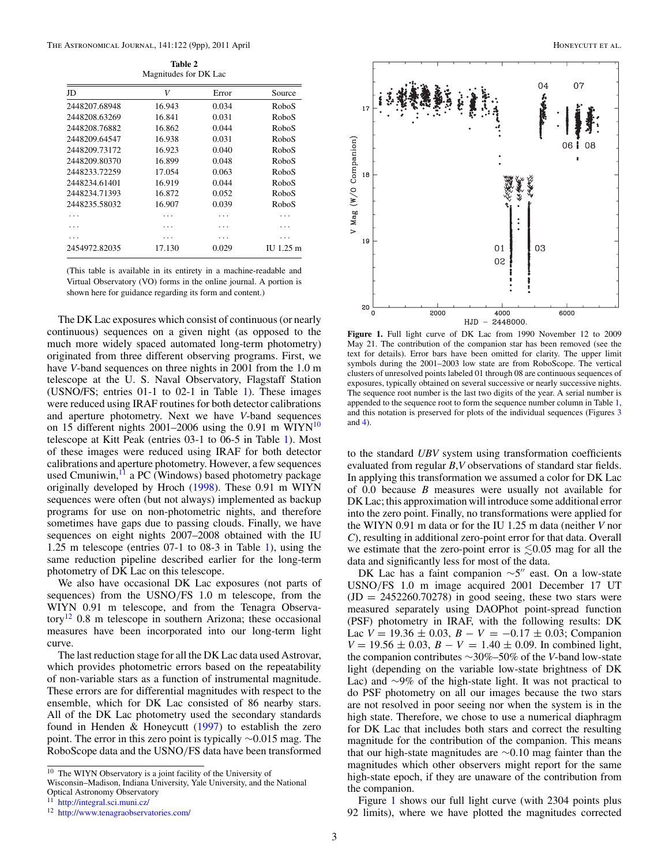**Table 2** Magnitudes for DK Lac

<span id="page-4-0"></span>

| JD            | V      | Error | Source    |
|---------------|--------|-------|-----------|
| 2448207.68948 | 16.943 | 0.034 | RoboS     |
| 2448208.63269 | 16.841 | 0.031 | RoboS     |
| 2448208.76882 | 16.862 | 0.044 | RoboS     |
| 2448209.64547 | 16.938 | 0.031 | RoboS     |
| 2448209.73172 | 16.923 | 0.040 | RoboS     |
| 2448209.80370 | 16.899 | 0.048 | RoboS     |
| 2448233.72259 | 17.054 | 0.063 | RoboS     |
| 2448234.61401 | 16.919 | 0.044 | RoboS     |
| 2448234.71393 | 16.872 | 0.052 | RoboS     |
| 2448235.58032 | 16.907 | 0.039 | RoboS     |
|               |        |       |           |
|               |        |       |           |
|               |        |       |           |
| 2454972.82035 | 17.130 | 0.029 | II 1.25 m |
|               |        |       |           |

(This table is available in its entirety in a machine-readable and Virtual Observatory (VO) forms in the online journal. A portion is shown here for guidance regarding its form and content.)

The DK Lac exposures which consist of continuous (or nearly continuous) sequences on a given night (as opposed to the much more widely spaced automated long-term photometry) originated from three different observing programs. First, we have *V*-band sequences on three nights in 2001 from the 1.0 m telescope at the U. S. Naval Observatory, Flagstaff Station (USNO/FS; entries 01-1 to 02-1 in Table [1\)](#page-3-0). These images were reduced using IRAF routines for both detector calibrations and aperture photometry. Next we have *V*-band sequences on 15 different nights 2001–2006 using the 0.91 m WIYN $^{10}$ telescope at Kitt Peak (entries 03-1 to 06-5 in Table [1\)](#page-3-0). Most of these images were reduced using IRAF for both detector calibrations and aperture photometry. However, a few sequences used Cmuniwin,<sup>11</sup> a PC (Windows) based photometry package originally developed by Hroch [\(1998\)](#page-10-0). These 0.91 m WIYN sequences were often (but not always) implemented as backup programs for use on non-photometric nights, and therefore sometimes have gaps due to passing clouds. Finally, we have sequences on eight nights 2007–2008 obtained with the IU 1.25 m telescope (entries 07-1 to 08-3 in Table [1\)](#page-3-0), using the same reduction pipeline described earlier for the long-term photometry of DK Lac on this telescope.

We also have occasional DK Lac exposures (not parts of sequences) from the USNO*/*FS 1.0 m telescope, from the WIYN 0.91 m telescope, and from the Tenagra Observatory<sup>12</sup> 0.8 m telescope in southern Arizona; these occasional measures have been incorporated into our long-term light curve.

The last reduction stage for all the DK Lac data used Astrovar, which provides photometric errors based on the repeatability of non-variable stars as a function of instrumental magnitude. These errors are for differential magnitudes with respect to the ensemble, which for DK Lac consisted of 86 nearby stars. All of the DK Lac photometry used the secondary standards found in Henden & Honeycutt [\(1997\)](#page-10-0) to establish the zero point. The error in this zero point is typically ∼0.015 mag. The RoboScope data and the USNO*/*FS data have been transformed

Wisconsin–Madison, Indiana University, Yale University, and the National



**Figure 1.** Full light curve of DK Lac from 1990 November 12 to 2009 May 21. The contribution of the companion star has been removed (see the text for details). Error bars have been omitted for clarity. The upper limit symbols during the 2001–2003 low state are from RoboScope. The vertical clusters of unresolved points labeled 01 through 08 are continuous sequences of exposures, typically obtained on several successive or nearly successive nights. The sequence root number is the last two digits of the year. A serial number is appended to the sequence root to form the sequence number column in Table [1,](#page-3-0) and this notation is preserved for plots of the individual sequences (Figures [3](#page-6-0) and [4\)](#page-6-0).

to the standard *UBV* system using transformation coefficients evaluated from regular *B*,*V* observations of standard star fields. In applying this transformation we assumed a color for DK Lac of 0.0 because *B* measures were usually not available for DK Lac; this approximation will introduce some additional error into the zero point. Finally, no transformations were applied for the WIYN 0.91 m data or for the IU 1.25 m data (neither *V* nor *C*), resulting in additional zero-point error for that data. Overall we estimate that the zero-point error is  $\leq 0.05$  mag for all the data and significantly less for most of the data.

DK Lac has a faint companion  $\sim$ 5" east. On a low-state USNO*/*FS 1.0 m image acquired 2001 December 17 UT  $(JD = 2452260.70278)$  in good seeing, these two stars were measured separately using DAOPhot point-spread function (PSF) photometry in IRAF, with the following results: DK Lac  $V = 19.36 \pm 0.03$ ,  $B - V = -0.17 \pm 0.03$ ; Companion  $V = 19.56 \pm 0.03$ ,  $B - V = 1.40 \pm 0.09$ . In combined light, the companion contributes ∼30%–50% of the *V*-band low-state light (depending on the variable low-state brightness of DK Lac) and ∼9% of the high-state light. It was not practical to do PSF photometry on all our images because the two stars are not resolved in poor seeing nor when the system is in the high state. Therefore, we chose to use a numerical diaphragm for DK Lac that includes both stars and correct the resulting magnitude for the contribution of the companion. This means that our high-state magnitudes are ∼0.10 mag fainter than the magnitudes which other observers might report for the same high-state epoch, if they are unaware of the contribution from the companion.

Figure 1 shows our full light curve (with 2304 points plus 92 limits), where we have plotted the magnitudes corrected

<sup>10</sup> The WIYN Observatory is a joint facility of the University of

Optical Astronomy Observatory

<sup>11</sup> <http://integral.sci.muni.cz/>

<sup>12</sup> <http://www.tenagraobservatories.com/>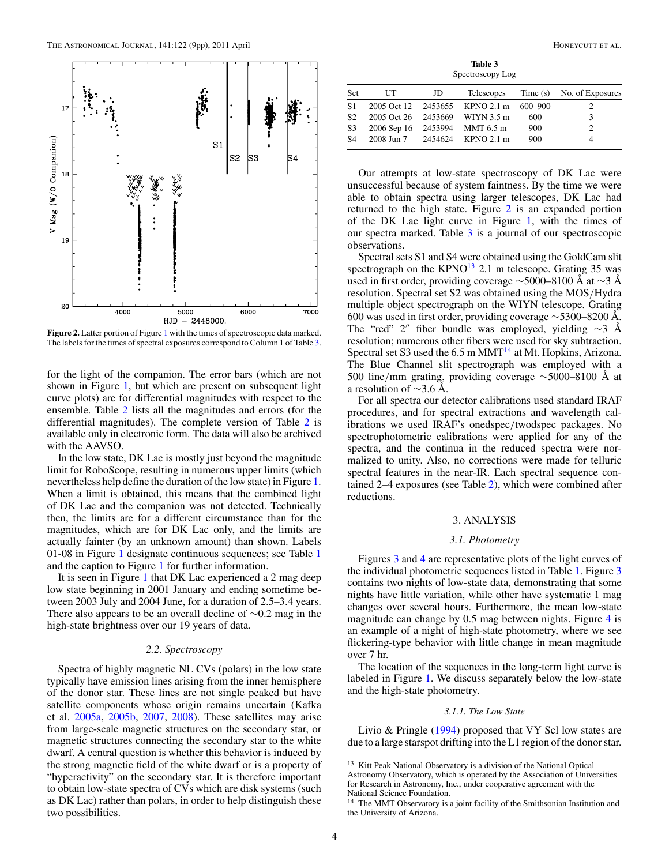<span id="page-5-0"></span>

**Figure 2.** Latter portion of Figure [1](#page-4-0) with the times of spectroscopic data marked. The labels for the times of spectral exposures correspond to Column 1 of Table 3.

for the light of the companion. The error bars (which are not shown in Figure [1,](#page-4-0) but which are present on subsequent light curve plots) are for differential magnitudes with respect to the ensemble. Table [2](#page-4-0) lists all the magnitudes and errors (for the differential magnitudes). The complete version of Table [2](#page-4-0) is available only in electronic form. The data will also be archived with the AAVSO.

In the low state, DK Lac is mostly just beyond the magnitude limit for RoboScope, resulting in numerous upper limits (which nevertheless help define the duration of the low state) in Figure [1.](#page-4-0) When a limit is obtained, this means that the combined light of DK Lac and the companion was not detected. Technically then, the limits are for a different circumstance than for the magnitudes, which are for DK Lac only, and the limits are actually fainter (by an unknown amount) than shown. Labels 01-08 in Figure [1](#page-4-0) designate continuous sequences; see Table [1](#page-3-0) and the caption to Figure [1](#page-4-0) for further information.

It is seen in Figure [1](#page-4-0) that DK Lac experienced a 2 mag deep low state beginning in 2001 January and ending sometime between 2003 July and 2004 June, for a duration of 2.5–3.4 years. There also appears to be an overall decline of ∼0.2 mag in the high-state brightness over our 19 years of data.

## *2.2. Spectroscopy*

Spectra of highly magnetic NL CVs (polars) in the low state typically have emission lines arising from the inner hemisphere of the donor star. These lines are not single peaked but have satellite components whose origin remains uncertain (Kafka et al. [2005a,](#page-10-0) [2005b,](#page-10-0) [2007,](#page-10-0) [2008\)](#page-10-0). These satellites may arise from large-scale magnetic structures on the secondary star, or magnetic structures connecting the secondary star to the white dwarf. A central question is whether this behavior is induced by the strong magnetic field of the white dwarf or is a property of "hyperactivity" on the secondary star. It is therefore important to obtain low-state spectra of CVs which are disk systems (such as DK Lac) rather than polars, in order to help distinguish these two possibilities.

**Table 3** Spectroscopy Log

| Set            | UT                            | JD |                                        |     | Telescopes Time (s) No. of Exposures |
|----------------|-------------------------------|----|----------------------------------------|-----|--------------------------------------|
| <b>S1</b>      |                               |    | 2005 Oct 12 2453655 KPNO 2.1 m 600-900 |     |                                      |
| S <sub>2</sub> |                               |    | 2005 Oct 26 2453669 WIYN 3.5 m         | 600 | 3                                    |
| S <sub>3</sub> | 2006 Sep 16 2453994 MMT 6.5 m |    |                                        | 900 |                                      |
| <b>S4</b>      |                               |    | 2008 Jun 7 2454624 KPNO 2.1 m          | 900 |                                      |

Our attempts at low-state spectroscopy of DK Lac were unsuccessful because of system faintness. By the time we were able to obtain spectra using larger telescopes, DK Lac had returned to the high state. Figure 2 is an expanded portion of the DK Lac light curve in Figure [1,](#page-4-0) with the times of our spectra marked. Table 3 is a journal of our spectroscopic observations.

Spectral sets S1 and S4 were obtained using the GoldCam slit spectrograph on the  $KPNO<sup>13</sup>$  2.1 m telescope. Grating 35 was used in first order, providing coverage  $\sim$ 5000–8100 Å at  $\sim$ 3 Å resolution. Spectral set S2 was obtained using the MOS*/*Hydra multiple object spectrograph on the WIYN telescope. Grating 600 was used in first order, providing coverage ∼5300–8200 Å. The "red" 2" fiber bundle was employed, yielding  $\sim$ 3 Å resolution; numerous other fibers were used for sky subtraction. Spectral set S3 used the  $6.5 \text{ m} \text{ MMT}^{14}$  at Mt. Hopkins, Arizona. The Blue Channel slit spectrograph was employed with a 500 line*/*mm grating, providing coverage ∼5000–8100 Å at a resolution of  $\sim$ 3.6 Å.

For all spectra our detector calibrations used standard IRAF procedures, and for spectral extractions and wavelength calibrations we used IRAF's onedspec*/*twodspec packages. No spectrophotometric calibrations were applied for any of the spectra, and the continua in the reduced spectra were normalized to unity. Also, no corrections were made for telluric spectral features in the near-IR. Each spectral sequence contained 2–4 exposures (see Table [2\)](#page-4-0), which were combined after reductions.

#### 3. ANALYSIS

## *3.1. Photometry*

Figures [3](#page-6-0) and [4](#page-6-0) are representative plots of the light curves of the individual photometric sequences listed in Table [1.](#page-3-0) Figure [3](#page-6-0) contains two nights of low-state data, demonstrating that some nights have little variation, while other have systematic 1 mag changes over several hours. Furthermore, the mean low-state magnitude can change by 0.5 mag between nights. Figure [4](#page-6-0) is an example of a night of high-state photometry, where we see flickering-type behavior with little change in mean magnitude over 7 hr.

The location of the sequences in the long-term light curve is labeled in Figure [1.](#page-4-0) We discuss separately below the low-state and the high-state photometry.

#### *3.1.1. The Low State*

Livio & Pringle [\(1994\)](#page-10-0) proposed that VY Scl low states are due to a large starspot drifting into the L1 region of the donor star.

<sup>13</sup> Kitt Peak National Observatory is a division of the National Optical Astronomy Observatory, which is operated by the Association of Universities for Research in Astronomy, Inc., under cooperative agreement with the National Science Foundation.

<sup>&</sup>lt;sup>14</sup> The MMT Observatory is a joint facility of the Smithsonian Institution and the University of Arizona.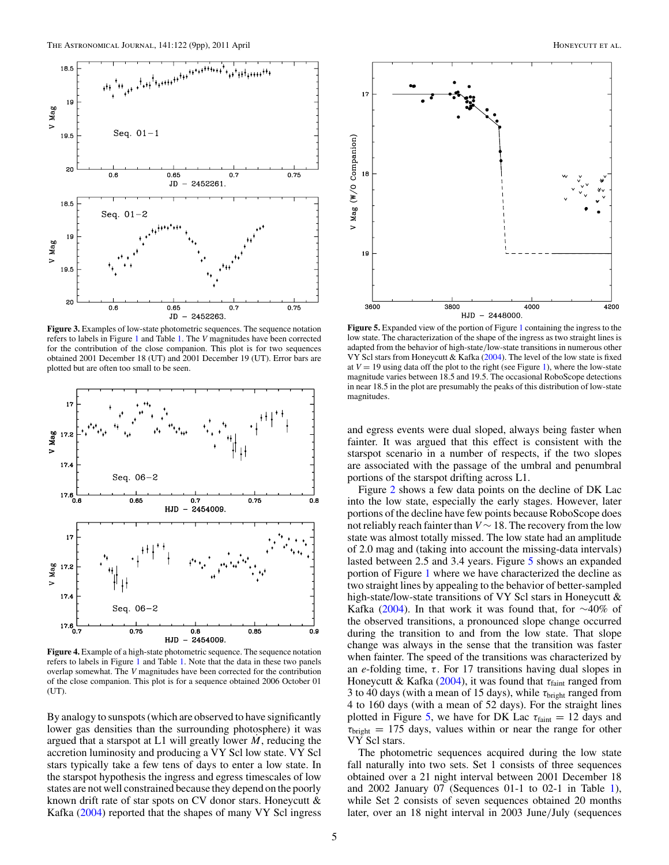<span id="page-6-0"></span>

**Figure 3.** Examples of low-state photometric sequences. The sequence notation refers to labels in Figure [1](#page-4-0) and Table [1.](#page-3-0) The *V* magnitudes have been corrected for the contribution of the close companion. This plot is for two sequences obtained 2001 December 18 (UT) and 2001 December 19 (UT). Error bars are plotted but are often too small to be seen.



**Figure 4.** Example of a high-state photometric sequence. The sequence notation refers to labels in Figure [1](#page-4-0) and Table [1.](#page-3-0) Note that the data in these two panels overlap somewhat. The *V* magnitudes have been corrected for the contribution of the close companion. This plot is for a sequence obtained 2006 October 01 (UT).

By analogy to sunspots (which are observed to have significantly lower gas densities than the surrounding photosphere) it was argued that a starspot at  $L1$  will greatly lower  $M$ , reducing the accretion luminosity and producing a VY Scl low state. VY Scl stars typically take a few tens of days to enter a low state. In the starspot hypothesis the ingress and egress timescales of low states are not well constrained because they depend on the poorly known drift rate of star spots on CV donor stars. Honeycutt & Kafka [\(2004\)](#page-10-0) reported that the shapes of many VY Scl ingress



**Figure 5.** Expanded view of the portion of Figure [1](#page-4-0) containing the ingress to the low state. The characterization of the shape of the ingress as two straight lines is adapted from the behavior of high-state*/*low-state transitions in numerous other VY Scl stars from Honeycutt & Kafka [\(2004\)](#page-10-0). The level of the low state is fixed at  $V = 19$  using data off the plot to the right (see Figure [1\)](#page-4-0), where the low-state magnitude varies between 18.5 and 19.5. The occasional RoboScope detections in near 18.5 in the plot are presumably the peaks of this distribution of low-state magnitudes.

and egress events were dual sloped, always being faster when fainter. It was argued that this effect is consistent with the starspot scenario in a number of respects, if the two slopes are associated with the passage of the umbral and penumbral portions of the starspot drifting across L1.

Figure [2](#page-5-0) shows a few data points on the decline of DK Lac into the low state, especially the early stages. However, later portions of the decline have few points because RoboScope does not reliably reach fainter than *V* ∼ 18. The recovery from the low state was almost totally missed. The low state had an amplitude of 2.0 mag and (taking into account the missing-data intervals) lasted between 2.5 and 3.4 years. Figure 5 shows an expanded portion of Figure [1](#page-4-0) where we have characterized the decline as two straight lines by appealing to the behavior of better-sampled high-state/low-state transitions of VY Scl stars in Honeycutt & Kafka [\(2004\)](#page-10-0). In that work it was found that, for  $\sim$ 40% of the observed transitions, a pronounced slope change occurred during the transition to and from the low state. That slope change was always in the sense that the transition was faster when fainter. The speed of the transitions was characterized by an *e*-folding time, *τ* . For 17 transitions having dual slopes in Honeycutt & Kafka [\(2004\)](#page-10-0), it was found that *τ*faint ranged from 3 to 40 days (with a mean of 15 days), while *τ*bright ranged from 4 to 160 days (with a mean of 52 days). For the straight lines plotted in Figure 5, we have for DK Lac  $\tau_{\text{faint}} = 12$  days and  $\tau_{bright}$  = 175 days, values within or near the range for other VY Scl stars.

The photometric sequences acquired during the low state fall naturally into two sets. Set 1 consists of three sequences obtained over a 21 night interval between 2001 December 18 and 2002 January 07 (Sequences 01-1 to 02-1 in Table [1\)](#page-3-0), while Set 2 consists of seven sequences obtained 20 months later, over an 18 night interval in 2003 June*/*July (sequences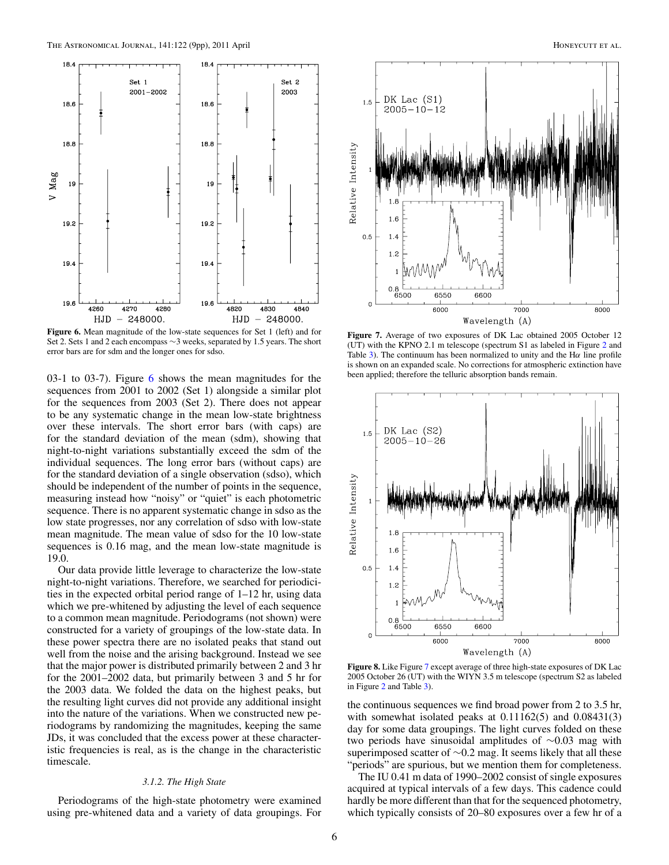<span id="page-7-0"></span>

**Figure 6.** Mean magnitude of the low-state sequences for Set 1 (left) and for Set 2. Sets 1 and 2 each encompass ∼3 weeks, separated by 1.5 years. The short error bars are for sdm and the longer ones for sdso.

03-1 to 03-7). Figure 6 shows the mean magnitudes for the sequences from 2001 to 2002 (Set 1) alongside a similar plot for the sequences from 2003 (Set 2). There does not appear to be any systematic change in the mean low-state brightness over these intervals. The short error bars (with caps) are for the standard deviation of the mean (sdm), showing that night-to-night variations substantially exceed the sdm of the individual sequences. The long error bars (without caps) are for the standard deviation of a single observation (sdso), which should be independent of the number of points in the sequence, measuring instead how "noisy" or "quiet" is each photometric sequence. There is no apparent systematic change in sdso as the low state progresses, nor any correlation of sdso with low-state mean magnitude. The mean value of sdso for the 10 low-state sequences is 0.16 mag, and the mean low-state magnitude is 19.0.

Our data provide little leverage to characterize the low-state night-to-night variations. Therefore, we searched for periodicities in the expected orbital period range of 1–12 hr, using data which we pre-whitened by adjusting the level of each sequence to a common mean magnitude. Periodograms (not shown) were constructed for a variety of groupings of the low-state data. In these power spectra there are no isolated peaks that stand out well from the noise and the arising background. Instead we see that the major power is distributed primarily between 2 and 3 hr for the 2001–2002 data, but primarily between 3 and 5 hr for the 2003 data. We folded the data on the highest peaks, but the resulting light curves did not provide any additional insight into the nature of the variations. When we constructed new periodograms by randomizing the magnitudes, keeping the same JDs, it was concluded that the excess power at these characteristic frequencies is real, as is the change in the characteristic timescale.

#### *3.1.2. The High State*

Periodograms of the high-state photometry were examined using pre-whitened data and a variety of data groupings. For



**Figure 7.** Average of two exposures of DK Lac obtained 2005 October 12 (UT) with the KPNO 2.1 m telescope (spectrum S1 as labeled in Figure [2](#page-5-0) and Table [3\)](#page-5-0). The continuum has been normalized to unity and the H*α* line profile is shown on an expanded scale. No corrections for atmospheric extinction have been applied; therefore the telluric absorption bands remain.



**Figure 8.** Like Figure 7 except average of three high-state exposures of DK Lac 2005 October 26 (UT) with the WIYN 3.5 m telescope (spectrum S2 as labeled in Figure [2](#page-5-0) and Table [3\)](#page-5-0).

the continuous sequences we find broad power from 2 to 3.5 hr, with somewhat isolated peaks at  $0.11162(5)$  and  $0.08431(3)$ day for some data groupings. The light curves folded on these two periods have sinusoidal amplitudes of ∼0.03 mag with superimposed scatter of ∼0.2 mag. It seems likely that all these "periods" are spurious, but we mention them for completeness.

The IU 0.41 m data of 1990–2002 consist of single exposures acquired at typical intervals of a few days. This cadence could hardly be more different than that for the sequenced photometry, which typically consists of 20–80 exposures over a few hr of a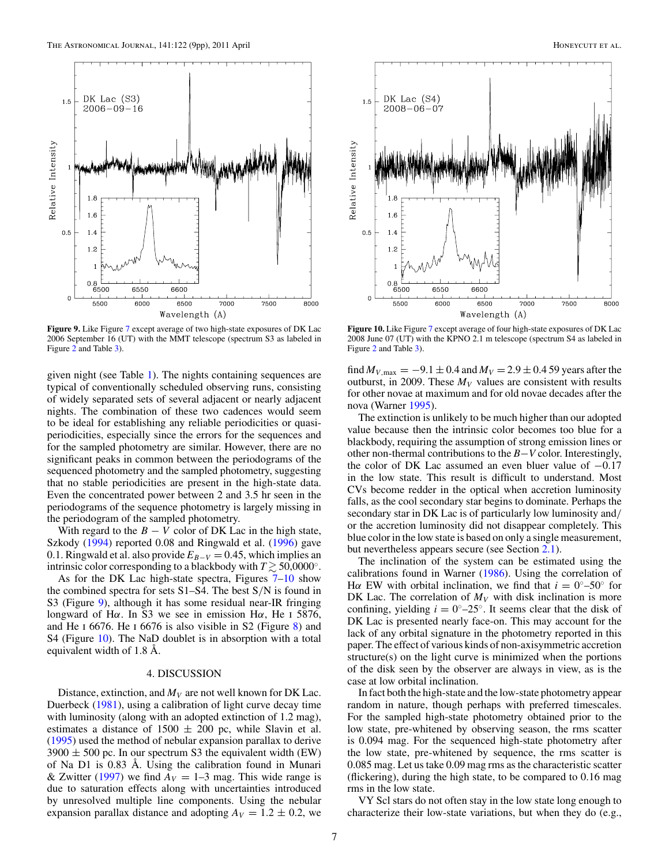

**Figure 9.** Like Figure [7](#page-7-0) except average of two high-state exposures of DK Lac 2006 September 16 (UT) with the MMT telescope (spectrum S3 as labeled in Figure [2](#page-5-0) and Table [3\)](#page-5-0).

given night (see Table [1\)](#page-3-0). The nights containing sequences are typical of conventionally scheduled observing runs, consisting of widely separated sets of several adjacent or nearly adjacent nights. The combination of these two cadences would seem to be ideal for establishing any reliable periodicities or quasiperiodicities, especially since the errors for the sequences and for the sampled photometry are similar. However, there are no significant peaks in common between the periodograms of the sequenced photometry and the sampled photometry, suggesting that no stable periodicities are present in the high-state data. Even the concentrated power between 2 and 3.5 hr seen in the periodograms of the sequence photometry is largely missing in the periodogram of the sampled photometry.

With regard to the  $B - V$  color of DK Lac in the high state, Szkody [\(1994\)](#page-10-0) reported 0.08 and Ringwald et al. [\(1996\)](#page-10-0) gave 0.1. Ringwald et al. also provide  $E_{B-V} = 0.45$ , which implies an intrinsic color corresponding to a blackbody with  $T \gtrsim 50,0000°$ .

As for the DK Lac high-state spectra, Figures [7–](#page-7-0)10 show the combined spectra for sets S1–S4. The best S*/*N is found in S3 (Figure 9), although it has some residual near-IR fringing longward of H*α*. In S3 we see in emission H*α*, He i 5876, and He i 6676. He i 6676 is also visible in S2 (Figure [8\)](#page-7-0) and S4 (Figure 10). The NaD doublet is in absorption with a total equivalent width of 1.8 Å.

#### 4. DISCUSSION

Distance, extinction, and  $M_V$  are not well known for DK Lac. Duerbeck [\(1981\)](#page-10-0), using a calibration of light curve decay time with luminosity (along with an adopted extinction of 1.2 mag), estimates a distance of  $1500 \pm 200$  pc, while Slavin et al. [\(1995\)](#page-10-0) used the method of nebular expansion parallax to derive  $3900 \pm 500$  pc. In our spectrum S3 the equivalent width (EW) of Na D1 is 0.83 Å. Using the calibration found in Munari & Zwitter [\(1997\)](#page-10-0) we find  $A_V = 1-3$  mag. This wide range is due to saturation effects along with uncertainties introduced by unresolved multiple line components. Using the nebular expansion parallax distance and adopting  $A_V = 1.2 \pm 0.2$ , we



**Figure 10.** Like Figure [7](#page-7-0) except average of four high-state exposures of DK Lac 2008 June 07 (UT) with the KPNO 2.1 m telescope (spectrum S4 as labeled in Figure [2](#page-5-0) and Table [3\)](#page-5-0).

find  $M_{V, \text{max}} = -9.1 \pm 0.4$  and  $M_V = 2.9 \pm 0.4$  59 years after the outburst, in 2009. These  $M_V$  values are consistent with results for other novae at maximum and for old novae decades after the nova (Warner [1995\)](#page-10-0).

The extinction is unlikely to be much higher than our adopted value because then the intrinsic color becomes too blue for a blackbody, requiring the assumption of strong emission lines or other non-thermal contributions to the *B*−*V* color. Interestingly, the color of DK Lac assumed an even bluer value of  $-0.17$ in the low state. This result is difficult to understand. Most CVs become redder in the optical when accretion luminosity falls, as the cool secondary star begins to dominate. Perhaps the secondary star in DK Lac is of particularly low luminosity and*/* or the accretion luminosity did not disappear completely. This blue color in the low state is based on only a single measurement, but nevertheless appears secure (see Section [2.1\)](#page-2-0).

The inclination of the system can be estimated using the calibrations found in Warner [\(1986\)](#page-10-0). Using the correlation of Hα EW with orbital inclination, we find that  $i = 0^{\circ} - 50^{\circ}$  for DK Lac. The correlation of  $M_V$  with disk inclination is more confining, yielding  $i = 0^\circ - 25^\circ$ . It seems clear that the disk of DK Lac is presented nearly face-on. This may account for the lack of any orbital signature in the photometry reported in this paper. The effect of various kinds of non-axisymmetric accretion structure(s) on the light curve is minimized when the portions of the disk seen by the observer are always in view, as is the case at low orbital inclination.

In fact both the high-state and the low-state photometry appear random in nature, though perhaps with preferred timescales. For the sampled high-state photometry obtained prior to the low state, pre-whitened by observing season, the rms scatter is 0.094 mag. For the sequenced high-state photometry after the low state, pre-whitened by sequence, the rms scatter is 0.085 mag. Let us take 0.09 mag rms as the characteristic scatter (flickering), during the high state, to be compared to 0.16 mag rms in the low state.

VY Scl stars do not often stay in the low state long enough to characterize their low-state variations, but when they do (e.g.,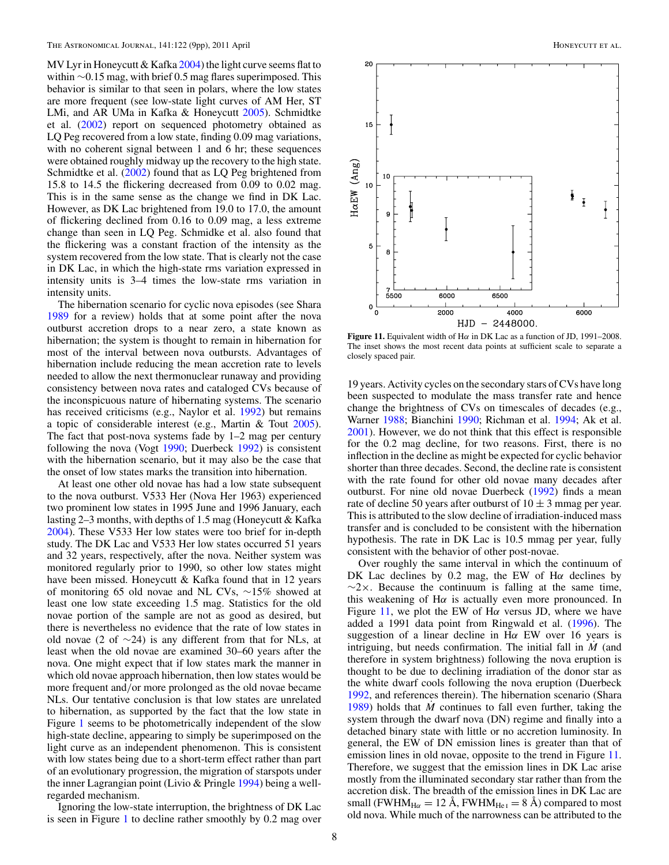MV Lyr in Honeycutt & Kafka [2004\)](#page-10-0) the light curve seems flat to within ∼0.15 mag, with brief 0.5 mag flares superimposed. This behavior is similar to that seen in polars, where the low states are more frequent (see low-state light curves of AM Her, ST LMi, and AR UMa in Kafka & Honeycutt [2005\)](#page-10-0). Schmidtke et al. [\(2002\)](#page-10-0) report on sequenced photometry obtained as LQ Peg recovered from a low state, finding 0.09 mag variations, with no coherent signal between 1 and 6 hr; these sequences were obtained roughly midway up the recovery to the high state. Schmidtke et al. [\(2002\)](#page-10-0) found that as LQ Peg brightened from 15.8 to 14.5 the flickering decreased from 0.09 to 0.02 mag. This is in the same sense as the change we find in DK Lac. However, as DK Lac brightened from 19.0 to 17.0, the amount of flickering declined from 0.16 to 0.09 mag, a less extreme change than seen in LQ Peg. Schmidke et al. also found that the flickering was a constant fraction of the intensity as the system recovered from the low state. That is clearly not the case in DK Lac, in which the high-state rms variation expressed in intensity units is 3–4 times the low-state rms variation in intensity units.

The hibernation scenario for cyclic nova episodes (see Shara [1989](#page-10-0) for a review) holds that at some point after the nova outburst accretion drops to a near zero, a state known as hibernation; the system is thought to remain in hibernation for most of the interval between nova outbursts. Advantages of hibernation include reducing the mean accretion rate to levels needed to allow the next thermonuclear runaway and providing consistency between nova rates and cataloged CVs because of the inconspicuous nature of hibernating systems. The scenario has received criticisms (e.g., Naylor et al. [1992\)](#page-10-0) but remains a topic of considerable interest (e.g., Martin & Tout [2005\)](#page-10-0). The fact that post-nova systems fade by 1–2 mag per century following the nova (Vogt [1990;](#page-10-0) Duerbeck [1992\)](#page-10-0) is consistent with the hibernation scenario, but it may also be the case that the onset of low states marks the transition into hibernation.

At least one other old novae has had a low state subsequent to the nova outburst. V533 Her (Nova Her 1963) experienced two prominent low states in 1995 June and 1996 January, each lasting 2–3 months, with depths of 1.5 mag (Honeycutt & Kafka [2004\)](#page-10-0). These V533 Her low states were too brief for in-depth study. The DK Lac and V533 Her low states occurred 51 years and 32 years, respectively, after the nova. Neither system was monitored regularly prior to 1990, so other low states might have been missed. Honeycutt & Kafka found that in 12 years of monitoring 65 old novae and NL CVs, ∼15% showed at least one low state exceeding 1.5 mag. Statistics for the old novae portion of the sample are not as good as desired, but there is nevertheless no evidence that the rate of low states in old novae (2 of  $\sim$ 24) is any different from that for NLs, at least when the old novae are examined 30–60 years after the nova. One might expect that if low states mark the manner in which old novae approach hibernation, then low states would be more frequent and*/*or more prolonged as the old novae became NLs. Our tentative conclusion is that low states are unrelated to hibernation, as supported by the fact that the low state in Figure [1](#page-4-0) seems to be photometrically independent of the slow high-state decline, appearing to simply be superimposed on the light curve as an independent phenomenon. This is consistent with low states being due to a short-term effect rather than part of an evolutionary progression, the migration of starspots under the inner Lagrangian point (Livio & Pringle [1994\)](#page-10-0) being a wellregarded mechanism.

Ignoring the low-state interruption, the brightness of DK Lac is seen in Figure [1](#page-4-0) to decline rather smoothly by 0.2 mag over



**Figure 11.** Equivalent width of H*α* in DK Lac as a function of JD, 1991–2008. The inset shows the most recent data points at sufficient scale to separate a closely spaced pair.

19 years. Activity cycles on the secondary stars of CVs have long been suspected to modulate the mass transfer rate and hence change the brightness of CVs on timescales of decades (e.g., Warner [1988;](#page-10-0) Bianchini [1990;](#page-10-0) Richman et al. [1994;](#page-10-0) Ak et al. [2001\)](#page-10-0). However, we do not think that this effect is responsible for the 0.2 mag decline, for two reasons. First, there is no inflection in the decline as might be expected for cyclic behavior shorter than three decades. Second, the decline rate is consistent with the rate found for other old novae many decades after outburst. For nine old novae Duerbeck [\(1992\)](#page-10-0) finds a mean rate of decline 50 years after outburst of  $10 \pm 3$  mmag per year. This is attributed to the slow decline of irradiation-induced mass transfer and is concluded to be consistent with the hibernation hypothesis. The rate in DK Lac is 10.5 mmag per year, fully consistent with the behavior of other post-novae.

Over roughly the same interval in which the continuum of DK Lac declines by 0.2 mag, the EW of H*α* declines by  $\sim$ 2×. Because the continuum is falling at the same time, this weakening of H*α* is actually even more pronounced. In Figure 11, we plot the EW of H*α* versus JD, where we have added a 1991 data point from Ringwald et al. [\(1996\)](#page-10-0). The suggestion of a linear decline in H*α* EW over 16 years is intriguing, but needs confirmation. The initial fall in *M*˙ (and therefore in system brightness) following the nova eruption is thought to be due to declining irradiation of the donor star as the white dwarf cools following the nova eruption (Duerbeck [1992,](#page-10-0) and references therein). The hibernation scenario (Shara [1989\)](#page-10-0) holds that *M*˙ continues to fall even further, taking the system through the dwarf nova (DN) regime and finally into a detached binary state with little or no accretion luminosity. In general, the EW of DN emission lines is greater than that of emission lines in old novae, opposite to the trend in Figure 11. Therefore, we suggest that the emission lines in DK Lac arise mostly from the illuminated secondary star rather than from the accretion disk. The breadth of the emission lines in DK Lac are small (FWHM<sub>Hα</sub> = 12 Å, FWHM<sub>He<sub>I</sub> = 8 Å) compared to most</sub> old nova. While much of the narrowness can be attributed to the